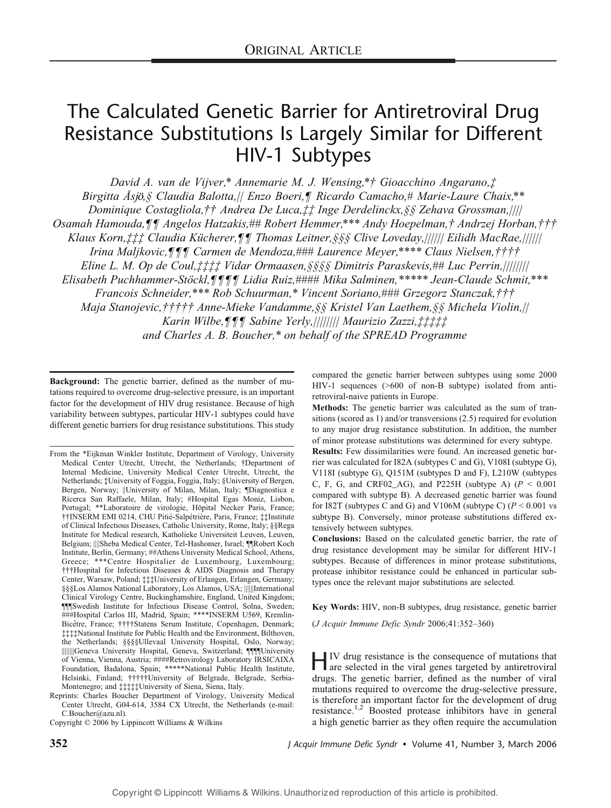# The Calculated Genetic Barrier for Antiretroviral Drug Resistance Substitutions Is Largely Similar for Different HIV-1 Subtypes

David A. van de Vijver,\* Annemarie M. J. Wensing,\*† Gioacchino Angarano,‡ Birgitta  $\AA$ sjö,§ Claudia Balotta, || Enzo Boeri,¶ Ricardo Camacho,# Marie-Laure Chaix,\*\* Dominique Costagliola,†† Andrea De Luca,‡‡ Inge Derdelinckx,§§ Zehava Grossman,|||| Osamah Hamouda,¶¶ Angelos Hatzakis,## Robert Hemmer,\*\*\* Andy Hoepelman,† Andrzej Horban,††† Klaus Korn,‡‡‡ Claudia Kücherer,¶¶ Thomas Leitner, §§§ Clive Loveday, |||||| Eilidh MacRae, |||||| Irina Maljkovic,¶¶¶ Carmen de Mendoza,### Laurence Meyer,\*\*\*\* Claus Nielsen,†††† Eline L. M. Op de Coul, $\ddagger \ddagger \ddagger \ddagger \ddagger$  Vidar Ormaasen, §§§§ Dimitris Paraskevis,## Luc Perrin,||||||||| Elisabeth Puchhammer-Stöckl, ¶¶¶ Lidia Ruiz,#### Mika Salminen,\*\*\*\*\* Jean-Claude Schmit,\*\*\* Francois Schneider,\*\*\* Rob Schuurman,\* Vincent Soriano,### Grzegorz Stanczak,††† Maja Stanojevic,††††† Anne-Mieke Vandamme,§§ Kristel Van Laethem,§§ Michela Violin,|| Karin Wilbe,¶¶¶ Sabine Yerly,|||||||| Maurizio Zazzi,‡‡‡‡‡ and Charles A. B. Boucher,\* on behalf of the SPREAD Programme

Background: The genetic barrier, defined as the number of mutations required to overcome drug-selective pressure, is an important factor for the development of HIV drug resistance. Because of high variability between subtypes, particular HIV-1 subtypes could have different genetic barriers for drug resistance substitutions. This study compared the genetic barrier between subtypes using some 2000 HIV-1 sequences (>600 of non-B subtype) isolated from antiretroviral-naive patients in Europe.

Methods: The genetic barrier was calculated as the sum of transitions (scored as 1) and/or transversions (2.5) required for evolution to any major drug resistance substitution. In addition, the number of minor protease substitutions was determined for every subtype.

Results: Few dissimilarities were found. An increased genetic barrier was calculated for I82A (subtypes C and G), V108I (subtype G), V118I (subtype G), Q151M (subtypes D and F), L210W (subtypes C, F, G, and CRF02\_AG), and P225H (subtype A) ( $P < 0.001$ ) compared with subtype B). A decreased genetic barrier was found for I82T (subtypes C and G) and V106M (subtype C)  $(P < 0.001$  vs subtype B). Conversely, minor protease substitutions differed extensively between subtypes.

Conclusions: Based on the calculated genetic barrier, the rate of drug resistance development may be similar for different HIV-1 subtypes. Because of differences in minor protease substitutions, protease inhibitor resistance could be enhanced in particular subtypes once the relevant major substitutions are selected.

Key Words: HIV, non-B subtypes, drug resistance, genetic barrier

 $(J$  Acquir Immune Defic Syndr 2006;41:352-360)

HIV drug resistance is the consequence of mutations that are selected in the viral genes targeted by antiretroviral drugs. The genetic barrier, defined as the number of viral mutations required to overcome the drug-selective pressure, is therefore an important factor for the development of drug resistance.1,2 Boosted protease inhibitors have in general a high genetic barrier as they often require the accumulation

352 J Acquir Immune Defic Syndr • Volume 41, Number 3, March 2006

From the \*Eijkman Winkler Institute, Department of Virology, University Medical Center Utrecht, Utrecht, the Netherlands; †Department of Internal Medicine, University Medical Center Utrecht, Utrecht, the Netherlands; ‡University of Foggia, Foggia, Italy; §University of Bergen, Bergen, Norway; ||University of Milan, Milan, Italy; ¶Diagnostica e Ricerca San Raffaele, Milan, Italy; #Hospital Egas Moniz, Lisbon, Portugal; \*\*Laboratoire de virologie, Hôpital Necker Paris, France; ††INSERM EMI 0214, CHU Piti2-Salp2tri6re, Paris, France; ‡‡Institute of Clinical Infectious Diseases, Catholic University, Rome, Italy; §§Rega Institute for Medical research, Katholieke Universiteit Leuven, Leuven, Belgium; ||||Sheba Medical Center, Tel-Hashomer, Israel; ¶¶Robert Koch Institute, Berlin, Germany; ##Athens University Medical School, Athens, Greece; \*\*\*Centre Hospitalier de Luxembourg, Luxembourg; †††Hospital for Infectious Diseases & AIDS Diagnosis and Therapy Center, Warsaw, Poland; ‡‡‡University of Erlangen, Erlangen, Germany; §§§Los Alamos National Laboratory, Los Alamos, USA; ||||||International Clinical Virology Centre, Buckinghamshire, England, United Kingdom; ¶¶¶Swedish Institute for Infectious Disease Control, Solna, Sweden; ###Hospital Carlos III, Madrid, Spain; \*\*\*\*INSERM U569, Kremlin-Bicêtre, France; ††††Statens Serum Institute, Copenhagen, Denmark; ‡‡‡‡National Institute for Public Health and the Environment, Bilthoven, the Netherlands; §§§§Ullevaal University Hospital, Oslo, Norway; ||||||||Geneva University Hospital, Geneva, Switzerland; ¶¶¶¶University of Vienna, Vienna, Austria; ####Retrovirology Laboratory IRSICAIXA Foundation, Badalona, Spain; \*\*\*\*\*National Public Health Institute, Helsinki, Finland; †††††University of Belgrade, Belgrade, Serbia-Montenegro; and ‡‡‡‡‡University of Siena, Siena, Italy.

Reprints: Charles Boucher Department of Virology, University Medical Center Utrecht, G04-614, 3584 CX Utrecht, the Netherlands (e-mail: C.Boucher@azu.nl).

Copyright  $\odot$  2006 by Lippincott Williams & Wilkins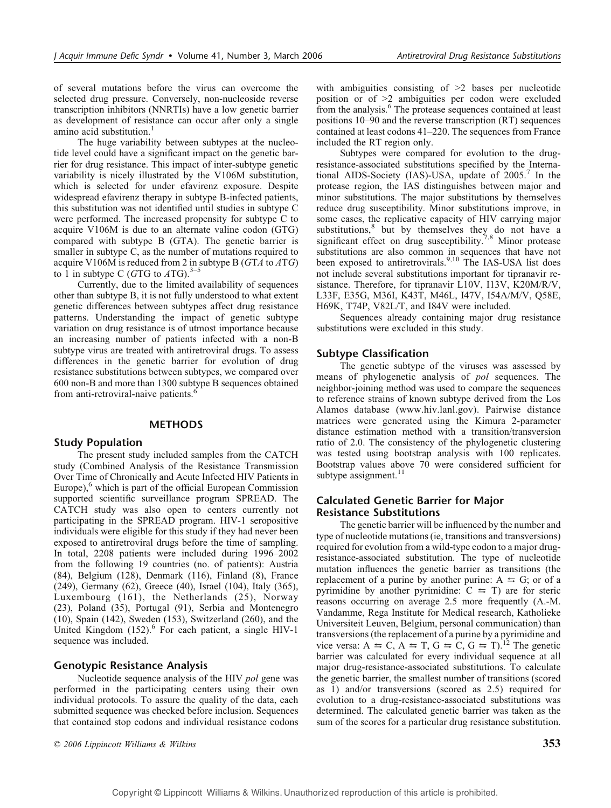of several mutations before the virus can overcome the selected drug pressure. Conversely, non-nucleoside reverse transcription inhibitors (NNRTIs) have a low genetic barrier as development of resistance can occur after only a single amino acid substitution.<sup>1</sup>

The huge variability between subtypes at the nucleotide level could have a significant impact on the genetic barrier for drug resistance. This impact of inter-subtype genetic variability is nicely illustrated by the V106M substitution, which is selected for under efavirenz exposure. Despite widespread efavirenz therapy in subtype B-infected patients, this substitution was not identified until studies in subtype C were performed. The increased propensity for subtype C to acquire V106M is due to an alternate valine codon (GTG) compared with subtype B (GTA). The genetic barrier is smaller in subtype C, as the number of mutations required to acquire V106M is reduced from 2 in subtype B ( $GTA$  to  $ATG$ ) to 1 in subtype C (GTG to  $ATG$ ).<sup>3-5</sup>

Currently, due to the limited availability of sequences other than subtype B, it is not fully understood to what extent genetic differences between subtypes affect drug resistance patterns. Understanding the impact of genetic subtype variation on drug resistance is of utmost importance because an increasing number of patients infected with a non-B subtype virus are treated with antiretroviral drugs. To assess differences in the genetic barrier for evolution of drug resistance substitutions between subtypes, we compared over 600 non-B and more than 1300 subtype B sequences obtained from anti-retroviral-naive patients.<sup>6</sup>

#### METHODS

## Study Population

The present study included samples from the CATCH study (Combined Analysis of the Resistance Transmission Over Time of Chronically and Acute Infected HIV Patients in Europe),<sup>6</sup> which is part of the official European Commission supported scientific surveillance program SPREAD. The CATCH study was also open to centers currently not participating in the SPREAD program. HIV-1 seropositive individuals were eligible for this study if they had never been exposed to antiretroviral drugs before the time of sampling. In total, 2208 patients were included during 1996–2002 from the following 19 countries (no. of patients): Austria (84), Belgium (128), Denmark (116), Finland (8), France (249), Germany (62), Greece (40), Israel (104), Italy (365), Luxembourg (161), the Netherlands (25), Norway (23), Poland (35), Portugal (91), Serbia and Montenegro (10), Spain (142), Sweden (153), Switzerland (260), and the United Kingdom  $(152)$ .<sup>6</sup> For each patient, a single HIV-1 sequence was included.

# Genotypic Resistance Analysis

Nucleotide sequence analysis of the HIV pol gene was performed in the participating centers using their own individual protocols. To assure the quality of the data, each submitted sequence was checked before inclusion. Sequences that contained stop codons and individual resistance codons

 $\degree$  2006 Lippincott Williams & Wilkins 353

with ambiguities consisting of  $\geq 2$  bases per nucleotide position or of  $>2$  ambiguities per codon were excluded from the analysis.<sup>6</sup> The protease sequences contained at least positions  $10-90$  and the reverse transcription (RT) sequences contained at least codons  $41-220$ . The sequences from France included the RT region only.

Subtypes were compared for evolution to the drugresistance-associated substitutions specified by the International AIDS-Society (IAS)-USA, update of  $2005<sup>7</sup>$  In the protease region, the IAS distinguishes between major and minor substitutions. The major substitutions by themselves reduce drug susceptibility. Minor substitutions improve, in some cases, the replicative capacity of HIV carrying major substitutions, $8$  but by themselves they do not have a significant effect on drug susceptibility.<sup>7,8</sup> Minor protease substitutions are also common in sequences that have not been exposed to antiretrovirals.<sup>9,10</sup> The IAS-USA list does not include several substitutions important for tipranavir resistance. Therefore, for tipranavir L10V, I13V, K20M/R/V, L33F, E35G, M36I, K43T, M46L, I47V, I54A/M/V, Q58E, H69K, T74P, V82L/T, and I84V were included.

Sequences already containing major drug resistance substitutions were excluded in this study.

## Subtype Classification

The genetic subtype of the viruses was assessed by means of phylogenetic analysis of pol sequences. The neighbor-joining method was used to compare the sequences to reference strains of known subtype derived from the Los Alamos database (www.hiv.lanl.gov). Pairwise distance matrices were generated using the Kimura 2-parameter distance estimation method with a transition/transversion ratio of 2.0. The consistency of the phylogenetic clustering was tested using bootstrap analysis with 100 replicates. Bootstrap values above 70 were considered sufficient for subtype assignment.<sup>11</sup>

# Calculated Genetic Barrier for Major Resistance Substitutions

The genetic barrier will be influenced by the number and type of nucleotide mutations (ie, transitions and transversions) required for evolution from a wild-type codon to a major drugresistance-associated substitution. The type of nucleotide mutation influences the genetic barrier as transitions (the replacement of a purine by another purine:  $A \le G$ ; or of a pyrimidine by another pyrimidine:  $C \leq T$ ) are for steric reasons occurring on average 2.5 more frequently (A.-M. Vandamme, Rega Institute for Medical research, Katholieke Universiteit Leuven, Belgium, personal communication) than transversions (the replacement of a purine by a pyrimidine and vice versa:  $A \Rightarrow C$ ,  $A \Rightarrow T$ ,  $G \Rightarrow C$ ,  $G \Rightarrow T$ ).<sup>12</sup> The genetic barrier was calculated for every individual sequence at all major drug-resistance-associated substitutions. To calculate the genetic barrier, the smallest number of transitions (scored as 1) and/or transversions (scored as 2.5) required for evolution to a drug-resistance-associated substitutions was determined. The calculated genetic barrier was taken as the sum of the scores for a particular drug resistance substitution.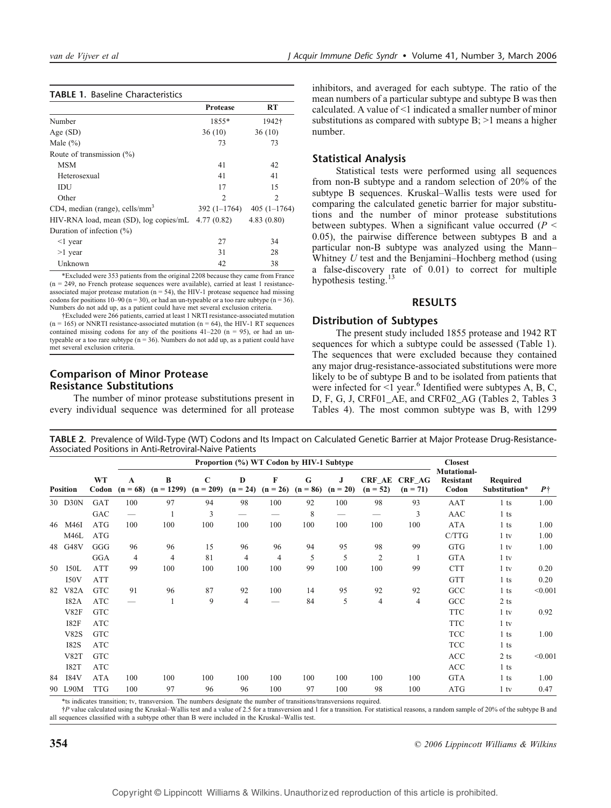#### TABLE 1. Baseline Characteristics

|                                                      | <b>Protease</b> | RT             |
|------------------------------------------------------|-----------------|----------------|
| Number                                               | 1855*           | 1942†          |
| Age $(SD)$                                           | 36(10)          | 36(10)         |
| Male $(\% )$                                         | 73              | 73             |
| Route of transmission $(\% )$                        |                 |                |
| <b>MSM</b>                                           | 41              | 42             |
| Heterosexual                                         | 41              | 41             |
| IDU                                                  | 17              | 15             |
| Other                                                | $\mathfrak{D}$  | $\mathfrak{D}$ |
| CD4, median (range), cells/ $mm3$                    | $392(1-1764)$   | $405(1-1764)$  |
| HIV-RNA load, mean (SD), $log copies/mL$ 4.77 (0.82) |                 | 4.83(0.80)     |
| Duration of infection $(\%)$                         |                 |                |
| $\leq$ 1 year                                        | 27              | 34             |
| $>1$ year                                            | 31              | 28             |
| Unknown                                              | 42              | 38             |

\*Excluded were 353 patients from the original 2208 because they came from France (n = 249, no French protease sequences were available), carried at least 1 resistanceassociated major protease mutation ( $n = 54$ ), the HIV-1 protease sequence had missing codons for positions 10-90 (n = 30), or had an un-typeable or a too rare subtype (n = 36). Numbers do not add up, as a patient could have met several exclusion criteria.

†Excluded were 266 patients, carried at least 1 NRTI resistance-associated mutation  $(n = 165)$  or NNRTI resistance-associated mutation  $(n = 64)$ , the HIV-1 RT sequences contained missing codons for any of the positions  $41-220$  (n = 95), or had an untypeable or a too rare subtype ( $n = 36$ ). Numbers do not add up, as a patient could have met several exclusion criteria.

## Comparison of Minor Protease Resistance Substitutions

The number of minor protease substitutions present in every individual sequence was determined for all protease inhibitors, and averaged for each subtype. The ratio of the mean numbers of a particular subtype and subtype B was then calculated. A value of  $\leq 1$  indicated a smaller number of minor substitutions as compared with subtype  $B$ ;  $>1$  means a higher number.

#### Statistical Analysis

Statistical tests were performed using all sequences from non-B subtype and a random selection of 20% of the subtype B sequences. Kruskal-Wallis tests were used for comparing the calculated genetic barrier for major substitutions and the number of minor protease substitutions between subtypes. When a significant value occurred ( $P \leq$ 0.05), the pairwise difference between subtypes B and a particular non-B subtype was analyzed using the Mann-Whitney  $U$  test and the Benjamini-Hochberg method (using a false-discovery rate of 0.01) to correct for multiple hypothesis testing.<sup>13</sup>

#### RESULTS

#### Distribution of Subtypes

The present study included 1855 protease and 1942 RT sequences for which a subtype could be assessed (Table 1). The sequences that were excluded because they contained any major drug-resistance-associated substitutions were more likely to be of subtype B and to be isolated from patients that were infected for  $\leq 1$  year.<sup>6</sup> Identified were subtypes A, B, C, D, F, G, J, CRF01\_AE, and CRF02\_AG (Tables 2, Tables 3 Tables 4). The most common subtype was B, with 1299

| Proportion (%) WT Codon by HIV-1 Subtype |             |                    |                 |                   |                            |                 |                            |                 |                  |                             |                      |                                   |                           |            |
|------------------------------------------|-------------|--------------------|-----------------|-------------------|----------------------------|-----------------|----------------------------|-----------------|------------------|-----------------------------|----------------------|-----------------------------------|---------------------------|------------|
|                                          | Position    | <b>WT</b><br>Codon | A<br>$(n = 68)$ | B<br>$(n = 1299)$ | $\mathbf C$<br>$(n = 209)$ | D<br>$(n = 24)$ | $\mathbf{F}$<br>$(n = 26)$ | G<br>$(n = 86)$ | J.<br>$(n = 20)$ | <b>CRF AE</b><br>$(n = 52)$ | CRF AG<br>$(n = 71)$ | Mutational-<br>Resistant<br>Codon | Required<br>Substitution* | $P\dagger$ |
|                                          | 30 D30N     | GAT                | 100             | 97                | 94                         | 98              | 100                        | 92              | 100              | 98                          | 93                   | AAT                               | $1$ ts                    | 1.00       |
|                                          |             | GAC                |                 | $\mathbf{1}$      | 3                          | -               |                            | 8               |                  | -                           | 3                    | AAC                               | $1$ ts                    |            |
| 46                                       | M46I        | <b>ATG</b>         | 100             | 100               | 100                        | 100             | 100                        | 100             | 100              | 100                         | 100                  | <b>ATA</b>                        | $1$ ts                    | 1.00       |
|                                          | M46L        | <b>ATG</b>         |                 |                   |                            |                 |                            |                 |                  |                             |                      | C/TTG                             | $1$ tv                    | 1.00       |
|                                          | 48 G48V     | GGG                | 96              | 96                | 15                         | 96              | 96                         | 94              | 95               | 98                          | 99                   | <b>GTG</b>                        | $1$ tv                    | 1.00       |
|                                          |             | <b>GGA</b>         | $\overline{4}$  | $\overline{4}$    | 81                         | $\overline{4}$  | $\overline{4}$             | 5               | 5                | $\overline{2}$              | 1                    | <b>GTA</b>                        | $1$ tv                    |            |
| 50                                       | <b>I50L</b> | <b>ATT</b>         | 99              | 100               | 100                        | 100             | 100                        | 99              | 100              | 100                         | 99                   | <b>CTT</b>                        | $1$ tv                    | 0.20       |
|                                          | <b>I50V</b> | <b>ATT</b>         |                 |                   |                            |                 |                            |                 |                  |                             |                      | <b>GTT</b>                        | $1$ ts                    | 0.20       |
| 82                                       | V82A        | <b>GTC</b>         | 91              | 96                | 87                         | 92              | 100                        | 14              | 95               | 92                          | 92                   | GCC                               | $1$ ts                    | < 0.001    |
|                                          | <b>I82A</b> | <b>ATC</b>         |                 | $\mathbf{1}$      | 9                          | $\overline{4}$  | _                          | 84              | 5                | 4                           | 4                    | GCC                               | $2$ ts                    |            |
|                                          | V82F        | <b>GTC</b>         |                 |                   |                            |                 |                            |                 |                  |                             |                      | <b>TTC</b>                        | $1$ tv                    | 0.92       |
|                                          | I82F        | <b>ATC</b>         |                 |                   |                            |                 |                            |                 |                  |                             |                      | <b>TTC</b>                        | $1$ tv                    |            |
|                                          | <b>V82S</b> | <b>GTC</b>         |                 |                   |                            |                 |                            |                 |                  |                             |                      | <b>TCC</b>                        | $1$ ts                    | 1.00       |
|                                          | <b>I82S</b> | <b>ATC</b>         |                 |                   |                            |                 |                            |                 |                  |                             |                      | <b>TCC</b>                        | $1$ ts                    |            |
|                                          | <b>V82T</b> | <b>GTC</b>         |                 |                   |                            |                 |                            |                 |                  |                             |                      | <b>ACC</b>                        | $2$ ts                    | < 0.001    |
|                                          | <b>I82T</b> | <b>ATC</b>         |                 |                   |                            |                 |                            |                 |                  |                             |                      | <b>ACC</b>                        | $1$ ts                    |            |
| 84                                       | <b>I84V</b> | <b>ATA</b>         | 100             | 100               | 100                        | 100             | 100                        | 100             | 100              | 100                         | 100                  | <b>GTA</b>                        | $1$ ts                    | 1.00       |
|                                          | 90 L90M     | <b>TTG</b>         | 100             | 97                | 96                         | 96              | 100                        | 97              | 100              | 98                          | 100                  | ATG                               | $1$ tv                    | 0.47       |

TABLE 2. Prevalence of Wild-Type (WT) Codons and Its Impact on Calculated Genetic Barrier at Major Protease Drug-Resistance-Associated Positions in Anti-Retroviral-Naive Patients

\*ts indicates transition; tv, transversion. The numbers designate the number of transitions/transversions required.

†P value calculated using the KruskalYWallis test and a value of 2.5 for a transversion and 1 for a transition. For statistical reasons, a random sample of 20% of the subtype B and all sequences classified with a subtype other than B were included in the Kruskal-Wallis test.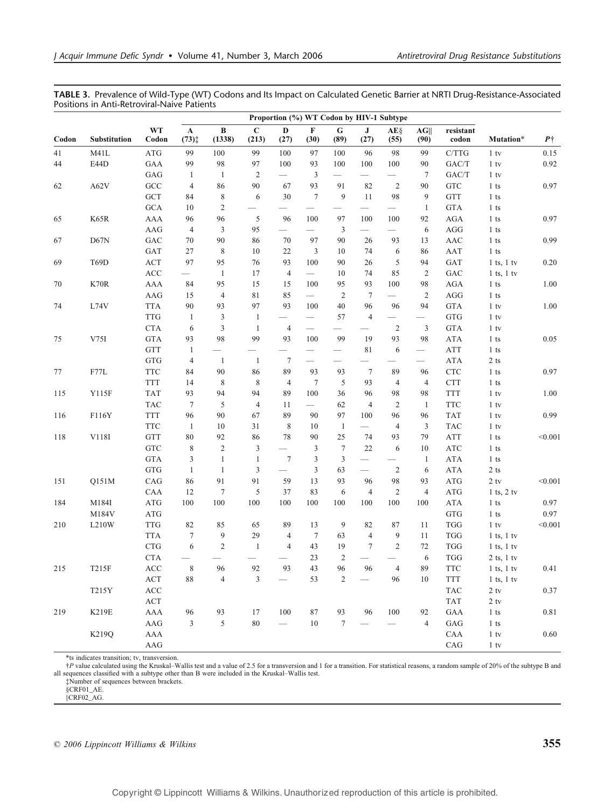TABLE 3. Prevalence of Wild-Type (WT) Codons and Its Impact on Calculated Genetic Barrier at NRTI Drug-Resistance-Associated Positions in Anti-Retroviral-Naive Patients

|       | Proportion (%) WT Codon by HIV-1 Subtype |                                               |                                     |                         |                          |                               |                             |                                 |                                 |                          |                                 |                      |                  |            |
|-------|------------------------------------------|-----------------------------------------------|-------------------------------------|-------------------------|--------------------------|-------------------------------|-----------------------------|---------------------------------|---------------------------------|--------------------------|---------------------------------|----------------------|------------------|------------|
| Codon | Substitution                             | <b>WT</b><br>Codon                            | $\mathbf{A}$<br>$(73)$ <sup>+</sup> | $\, {\bf B}$<br>(1338)  | $\mathbf C$<br>(213)     | $\mathbf{D}$<br>(27)          | $\mathbf F$<br>(30)         | ${\bf G}$<br>(89)               | $\mathbf{J}$<br>(27)            | $AE\S$<br>(55)           | AG<br>(90)                      | resistant<br>codon   | Mutation*        | $P\dagger$ |
| 41    | M41L                                     | $\rm{ATG}$                                    | 99                                  | 100                     | 99                       | 100                           | 97                          | 100                             | 96                              | 98                       | 99                              | C/TTG                | $1$ tv           | 0.15       |
| 44    | E44D                                     | GAA                                           | 99                                  | 98                      | 97                       | 100                           | 93                          | 100                             | 100                             | 100                      | 90                              | ${\rm GAC/T}$        | $1$ tv           | 0.92       |
|       |                                          | GAG                                           | -1                                  | $\mathbf{1}$            | $\overline{2}$           |                               | 3                           | $\qquad \qquad -$               | $\overbrace{\qquad \qquad }^{}$ | $\qquad \qquad -$        | $\tau$                          | GAC/T                | $1$ tv           |            |
| 62    | A62V                                     | $_{\mathrm{GCC}}$                             | 4                                   | 86                      | 90                       | 67                            | 93                          | 91                              | 82                              | $\overline{c}$           | 90                              | <b>GTC</b>           | $1$ ts           | 0.97       |
|       |                                          | $\operatorname{GCT}$                          | 84                                  | $\,$ $\,$               | 6                        | 30                            | $\overline{7}$              | 9                               | 11                              | 98                       | 9                               | <b>GTT</b>           | $1$ ts           |            |
|       |                                          | $GCA$                                         | 10                                  | $\sqrt{2}$              |                          |                               |                             |                                 |                                 |                          | $\mathbf{1}$                    | <b>GTA</b>           | $1\,\mathrm{ts}$ |            |
| 65    | K65R                                     | AAA                                           | 96                                  | 96                      | 5                        | 96                            | 100                         | 97                              | 100                             | 100                      | 92                              | <b>AGA</b>           | $1$ ts           | 0.97       |
|       |                                          | AAG                                           | $\overline{4}$                      | 3                       | 95                       |                               |                             | 3                               | $\overbrace{\qquad \qquad }^{}$ | $\overline{\phantom{0}}$ | 6                               | AGG                  | $1$ ts           |            |
| 67    | D67N                                     | $_{\mathrm{GAC}}$                             | 70                                  | 90                      | 86                       | 70                            | 97                          | 90                              | 26                              | 93                       | 13                              | AAC                  | $1$ ts           | 0.99       |
|       |                                          | GAT                                           | 27                                  | $\,$ 8 $\,$             | 10                       | 22                            | 3                           | 10                              | 74                              | 6                        | 86                              | AAT                  | $1$ ts           |            |
| 69    | T69D                                     | $\mathbf{ACT}$                                | 97                                  | 95                      | 76                       | 93                            | 100                         | 90                              | 26                              | 5                        | 94                              | GAT                  | $1$ ts, $1$ tv   | 0.20       |
|       |                                          | $\rm ACC$                                     |                                     | $\mathbf{1}$            | 17                       | $\overline{4}$                |                             | 10                              | 74                              | 85                       | $\overline{2}$                  | GAC                  | $1$ ts, $1$ tv   |            |
| 70    | K70R                                     | AAA                                           | 84                                  | 95                      | 15                       | 15                            | 100                         | 95                              | 93                              | 100                      | 98                              | <b>AGA</b>           | $1$ ts           | $1.00\,$   |
|       |                                          | AAG                                           | 15                                  | $\overline{\mathbf{4}}$ | 81                       | 85                            |                             | $\overline{c}$                  | 7                               |                          | $\overline{2}$                  | AGG                  | $1$ ts           |            |
| 74    | L74V                                     | <b>TTA</b>                                    | 90                                  | 93                      | 97                       | 93                            | 100                         | 40                              | 96                              | 96                       | 94                              | <b>GTA</b>           | $1$ tv           | 1.00       |
|       |                                          | <b>TTG</b>                                    | $\mathbf{1}$                        | $\mathfrak{Z}$          | $\mathbf{1}$             | $\qquad \qquad -$             | $\overline{\phantom{m}}$    | 57                              | $\overline{4}$                  | $\overline{\phantom{0}}$ | $\overbrace{\qquad \qquad }^{}$ | <b>GTG</b>           | $1$ tv           |            |
|       |                                          | ${\rm CTA}$                                   | 6                                   | $\sqrt{3}$              | $\mathbf{1}$             | $\overline{4}$                | $\overline{\phantom{0}}$    |                                 | $\overline{\phantom{0}}$        | $\overline{c}$           | 3                               | <b>GTA</b>           | $1$ tv           |            |
| 75    | V75I                                     | <b>GTA</b>                                    | 93                                  | 98                      | 99                       | 93                            | 100                         | 99                              | 19                              | 93                       | 98                              | ATA                  | $1$ ts           | 0.05       |
|       |                                          | <b>GTT</b>                                    | $\mathbf{1}$                        |                         | $\qquad \qquad$          |                               |                             | $\overbrace{\phantom{12333}}$   | 81                              | 6                        | $\overbrace{\phantom{12333}}$   | <b>ATT</b>           | $1$ ts           |            |
|       |                                          | <b>GTG</b>                                    | $\overline{4}$                      | -1                      | -1                       | $\tau$                        | $\overline{\phantom{m}}$    | $\overbrace{\qquad \qquad }^{}$ | $\overline{\phantom{0}}$        | --                       | $\overbrace{\qquad \qquad }^{}$ | <b>ATA</b>           | $2\,\mathrm{ts}$ |            |
| 77    | F77L                                     | <b>TTC</b>                                    | 84                                  | 90                      | 86                       | 89                            | 93                          | 93                              | $7\phantom{.0}$                 | 89                       | 96                              | <b>CTC</b>           | $1$ ts           | 0.97       |
|       |                                          | <b>TTT</b>                                    | 14                                  | 8                       | $\,8\,$                  | $\overline{4}$                | $\boldsymbol{7}$            | 5                               | 93                              | $\overline{4}$           | $\overline{4}$                  | <b>CTT</b>           | $1$ ts           |            |
| 115   | Y115F                                    | <b>TAT</b>                                    | 93                                  | 94                      | 94                       | 89                            | 100                         | 36                              | 96                              | 98                       | 98                              | <b>TTT</b>           | $1$ tv           | 1.00       |
|       |                                          | <b>TAC</b>                                    | $\tau$                              | 5                       | $\overline{4}$           | 11                            |                             | 62                              | $\overline{4}$                  | $\overline{2}$           | $\mathbf{1}$                    | <b>TTC</b>           | $1$ tv           |            |
| 116   | F116Y                                    | <b>TTT</b>                                    | 96                                  | 90                      | 67                       | 89                            | 90                          | 97                              | 100                             | 96                       | 96                              | <b>TAT</b>           | $1$ tv           | 0.99       |
|       |                                          | TTC                                           | -1                                  | $10\,$                  | 31                       | $\,$ 8 $\,$                   | 10                          | $\mathbf{1}$                    |                                 | $\overline{4}$           | 3                               | <b>TAC</b>           | $1$ tv           |            |
| 118   | V118I                                    | <b>GTT</b>                                    | 80                                  | 92                      | 86                       | 78                            | 90                          | 25                              | 74                              | 93                       | 79                              | <b>ATT</b>           | $1$ ts           | < 0.001    |
|       |                                          | ${\rm GTC}$                                   | 8                                   | $\sqrt{2}$              | 3                        |                               | 3                           | $\tau$                          | $22\,$                          | 6                        | $10\,$                          | $\rm{ATC}$           | $1$ ts           |            |
|       |                                          | <b>GTA</b>                                    | 3                                   | $\mathbf{1}$            | $\mathbf{1}$             | $\tau$                        | $\ensuremath{\mathfrak{Z}}$ | $\mathfrak{Z}$                  | $\hspace{0.1mm}-\hspace{0.1mm}$ | $\overline{\phantom{0}}$ | $\mathbf{1}$                    | ${\rm ATA}$          | $1$ ts           |            |
|       |                                          | $_{\rm GTG}$                                  | $\mathbf{1}$                        | $\mathbf{1}$            | 3                        | $\overbrace{\phantom{12333}}$ | $\mathfrak{Z}$              | 63                              | $\overbrace{\phantom{123321}}$  | $\overline{c}$           | 6                               | <b>ATA</b>           | $2$ ts           |            |
| 151   | Q151M                                    | CAG                                           | 86                                  | 91                      | 91                       | 59                            | 13                          | 93                              | 96                              | 98                       | 93                              | <b>ATG</b>           | $2$ tv           | < 0.001    |
|       |                                          | CAA                                           | 12                                  | $\tau$                  | 5                        | 37                            | 83                          | 6                               | $\overline{4}$                  | $\overline{c}$           | $\overline{4}$                  | $\rm{ATG}$           | $1$ ts, $2$ tv   |            |
| 184   | M184I                                    | $\rm{ATG}$                                    | 100                                 | 100                     | 100                      | 100                           | 100                         | 100                             | 100                             | 100                      | 100                             | <b>ATA</b>           | $1$ ts           | 0.97       |
|       | M184V                                    | $\rm{ATG}$                                    |                                     |                         |                          |                               |                             |                                 |                                 |                          |                                 | GTG                  | $1$ ts           | 0.97       |
| 210   | L210W                                    | $\ensuremath{\mathsf{T}\mathsf{T}\mathsf{G}}$ | 82                                  | 85                      | 65                       | 89                            | 13                          | 9                               | 82                              | 87                       | 11                              | <b>TGG</b>           | $1$ tv           | < 0.001    |
|       |                                          | <b>TTA</b>                                    | $\tau$                              | 9                       | 29                       | 4                             | $7\phantom{.0}$             | 63                              | $\overline{4}$                  | 9                        | 11                              | $\operatorname{TGG}$ | $1$ ts, $1$ tv   |            |
|       |                                          | $\ensuremath{\mathbf{CTG}}$                   | 6                                   | $\sqrt{2}$              | $\mathbf{1}$             | $\overline{4}$                | 43                          | 19                              | $\overline{7}$                  | $\overline{c}$           | $72\,$                          | <b>TGG</b>           | $1$ ts, $1$ tv   |            |
|       |                                          | <b>CTA</b>                                    | $\overbrace{\phantom{13333}}$       |                         | $\overline{\phantom{0}}$ | $\overline{\phantom{0}}$      | 23                          | 2                               | $\overbrace{\phantom{13333}}$   |                          | 6                               | <b>TGG</b>           | $2$ ts, $1$ tv   |            |
| 215   | T215F                                    | $\rm ACC$                                     | $\,$ 8 $\,$                         | 96                      | 92                       | 93                            | 43                          | 96                              | 96                              | 4                        | 89                              | <b>TTC</b>           | $1$ ts, $1$ tv   | 0.41       |
|       |                                          | $\mathbf{ACT}\,$                              | $88\,$                              | $\overline{\mathbf{4}}$ | $\mathfrak{Z}$           | $\overline{\phantom{0}}$      | 53                          | $\sqrt{2}$                      |                                 | 96                       | $10\,$                          | TTT                  | $1$ ts, $1$ tv   |            |
|       | T215Y                                    | $\rm ACC$                                     |                                     |                         |                          |                               |                             |                                 |                                 |                          |                                 | TAC                  | $2$ tv           | 0.37       |
|       |                                          | $\mathbf{ACT}\,$                              |                                     |                         |                          |                               |                             |                                 |                                 |                          |                                 | <b>TAT</b>           | $2$ tv           |            |
| 219   | <b>K219E</b>                             | AAA                                           | 96                                  | 93                      | 17                       | 100                           | 87                          | 93                              | 96                              | 100                      | 92                              | GAA                  | $1$ ts           | 0.81       |
|       |                                          | $\rm{AAG}$                                    | 3                                   | 5                       | 80                       | $\qquad \qquad -$             | $10\,$                      | $\boldsymbol{7}$                |                                 |                          | $\overline{4}$                  | GAG                  | $1$ ts           |            |
|       | K219Q                                    | ${\rm AAA}$                                   |                                     |                         |                          |                               |                             |                                 |                                 |                          |                                 | CAA                  | $1$ tv           | 0.60       |
|       |                                          | $\rm{AAG}$                                    |                                     |                         |                          |                               |                             |                                 |                                 |                          |                                 | CAG                  | $1$ tv           |            |

\*ts indicates transition; tv, transversion.

*†P* value calculated using the Kruskal–Wallis test and a value of 2.5 for a transversion and 1 for a transition. For statistical reasons, a random sample of 20% of the subtype B and sequences classified with a subtype oth

‡Number of sequences between brackets.

§CRF01\_AE. ||CRF02\_AG.

\* 2006 Lippincott Williams & Wilkins 355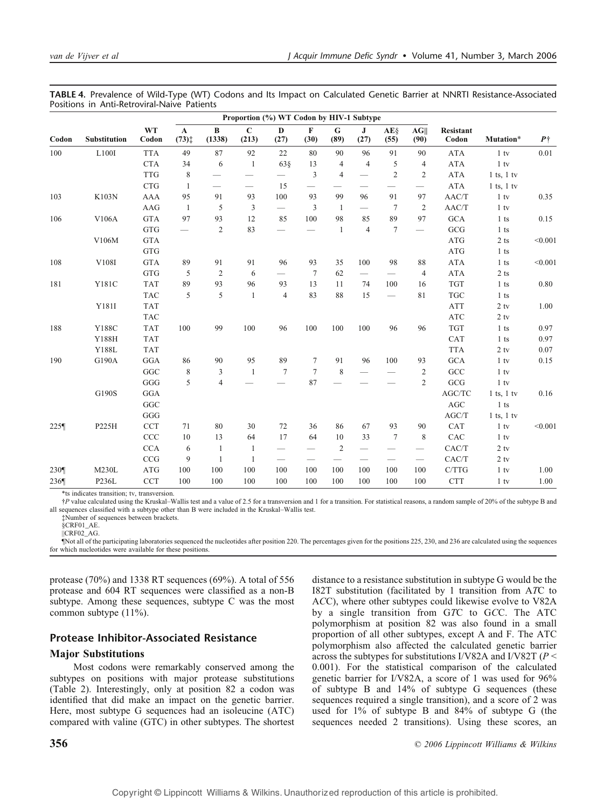|         |              |                    | Proportion (%) WT Codon by HIV-1 Subtype |                    |                                 |                               |                          |                               |                          |                                 |                                 |                    |                |            |
|---------|--------------|--------------------|------------------------------------------|--------------------|---------------------------------|-------------------------------|--------------------------|-------------------------------|--------------------------|---------------------------------|---------------------------------|--------------------|----------------|------------|
| Codon   | Substitution | <b>WT</b><br>Codon | $\mathbf{A}$<br>$(73)$ <sup>+</sup>      | $\bf{B}$<br>(1338) | $\mathbf{C}$<br>(213)           | D<br>(27)                     | $\mathbf F$<br>(30)      | G<br>(89)                     | J<br>(27)                | AE§<br>(55)                     | AG  <br>(90)                    | Resistant<br>Codon | Mutation*      | $P\dagger$ |
| 100     | L100I        | <b>TTA</b>         | 49                                       | 87                 | 92                              | 22                            | 80                       | 90                            | 96                       | 91                              | 90                              | <b>ATA</b>         | $1$ tv         | 0.01       |
|         |              | <b>CTA</b>         | 34                                       | 6                  | -1                              | 638                           | 13                       | 4                             | $\overline{4}$           | 5                               | $\overline{4}$                  | <b>ATA</b>         | $1$ tv         |            |
|         |              | <b>TTG</b>         | 8                                        |                    | $\overbrace{\qquad \qquad }^{}$ | $\qquad \qquad$               | 3                        | $\overline{4}$                | $\overline{\phantom{0}}$ | $\overline{2}$                  | $\overline{2}$                  | <b>ATA</b>         | $1$ ts, $1$ tv |            |
|         |              | <b>CTG</b>         | 1                                        |                    |                                 | 15                            |                          |                               | --                       |                                 |                                 | <b>ATA</b>         | $1$ ts, $1$ tv |            |
| 103     | K103N        | <b>AAA</b>         | 95                                       | 91                 | 93                              | 100                           | 93                       | 99                            | 96                       | 91                              | 97                              | AAC/T              | $1$ tv         | 0.35       |
|         |              | AAG                | -1                                       | 5                  | 3                               | $\overbrace{\phantom{12333}}$ | 3                        | -1                            |                          | 7                               | 2                               | AAC/T              | $1$ tv         |            |
| 106     | V106A        | $\mathsf{GTA}$     | 97                                       | 93                 | 12                              | 85                            | 100                      | 98                            | 85                       | 89                              | 97                              | <b>GCA</b>         | $1$ ts         | 0.15       |
|         |              | <b>GTG</b>         |                                          | $\overline{c}$     | 83                              | $\overline{\phantom{0}}$      |                          | $\mathbf{1}$                  | $\overline{4}$           | $\overline{7}$                  | $\qquad \qquad -$               | GCG                | $1$ ts         |            |
|         | V106M        | <b>GTA</b>         |                                          |                    |                                 |                               |                          |                               |                          |                                 |                                 | <b>ATG</b>         | $2$ ts         | < 0.001    |
|         |              | <b>GTG</b>         |                                          |                    |                                 |                               |                          |                               |                          |                                 |                                 | <b>ATG</b>         | $1$ ts         |            |
| 108     | V108I        | <b>GTA</b>         | 89                                       | 91                 | 91                              | 96                            | 93                       | 35                            | 100                      | 98                              | 88                              | <b>ATA</b>         | $1$ ts         | < 0.001    |
|         |              | <b>GTG</b>         | 5                                        | $\overline{2}$     | 6                               | $\qquad \qquad$               | $\overline{7}$           | 62                            | $\overline{\phantom{0}}$ |                                 | $\overline{4}$                  | <b>ATA</b>         | $2$ ts         |            |
| 181     | Y181C        | <b>TAT</b>         | 89                                       | 93                 | 96                              | 93                            | 13                       | 11                            | 74                       | 100                             | 16                              | <b>TGT</b>         | $1$ ts         | 0.80       |
|         |              | <b>TAC</b>         | 5                                        | 5                  | $\mathbf{1}$                    | $\overline{4}$                | 83                       | 88                            | 15                       | $\overbrace{\qquad \qquad }^{}$ | 81                              | <b>TGC</b>         | $1$ ts         |            |
|         | Y181I        | <b>TAT</b>         |                                          |                    |                                 |                               |                          |                               |                          |                                 |                                 | <b>ATT</b>         | $2$ tv         | 1.00       |
|         |              | <b>TAC</b>         |                                          |                    |                                 |                               |                          |                               |                          |                                 |                                 | $\rm{ATC}$         | $2$ tv         |            |
| 188     | Y188C        | <b>TAT</b>         | 100                                      | 99                 | 100                             | 96                            | 100                      | 100                           | 100                      | 96                              | 96                              | <b>TGT</b>         | $1$ ts         | 0.97       |
|         | Y188H        | <b>TAT</b>         |                                          |                    |                                 |                               |                          |                               |                          |                                 |                                 | CAT                | $1$ ts         | 0.97       |
|         | Y188L        | <b>TAT</b>         |                                          |                    |                                 |                               |                          |                               |                          |                                 |                                 | <b>TTA</b>         | $2$ tv         | 0.07       |
| 190     | G190A        | GGA                | 86                                       | 90                 | 95                              | 89                            | 7                        | 91                            | 96                       | 100                             | 93                              | <b>GCA</b>         | $1$ tv         | 0.15       |
|         |              | $_{\rm GGC}$       | $\,$ 8 $\,$                              | $\mathfrak{Z}$     | $\mathbf{1}$                    | $7\phantom{.0}$               | $\overline{7}$           | 8                             |                          |                                 | $\overline{c}$                  | GCC                | $1$ tv         |            |
|         |              | GGG                | 5                                        | $\overline{4}$     |                                 |                               | 87                       |                               |                          |                                 | $\overline{2}$                  | GCG                | $1$ tv         |            |
|         | G190S        | $_{\rm GGA}$       |                                          |                    |                                 |                               |                          |                               |                          |                                 |                                 | AGC/TC             | $1$ ts, $1$ tv | 0.16       |
|         |              | GGC                |                                          |                    |                                 |                               |                          |                               |                          |                                 |                                 | AGC                | $1$ ts         |            |
|         |              | GGG                |                                          |                    |                                 |                               |                          |                               |                          |                                 |                                 | AGC/T              | $1$ ts, $1$ tv |            |
| $225$ ¶ | P225H        | <b>CCT</b>         | 71                                       | 80                 | 30                              | 72                            | 36                       | 86                            | 67                       | 93                              | 90                              | CAT                | $1$ tv         | < 0.001    |
|         |              | CCC                | 10                                       | 13                 | 64                              | 17                            | 64                       | 10                            | 33                       | $\overline{7}$                  | 8                               | CAC                | $1$ tv         |            |
|         |              | <b>CCA</b>         | 6                                        | $\mathbf{1}$       | 1                               |                               |                          | $\overline{2}$                |                          |                                 |                                 | CAC/T              | $2$ tv         |            |
|         |              | $\rm{CCG}$         | 9                                        | $\mathbf{1}$       | $\mathbf{1}$                    | $\qquad \qquad$               | $\overline{\phantom{m}}$ | $\overbrace{\phantom{aaaaa}}$ | $\overline{\phantom{m}}$ |                                 | $\overbrace{\qquad \qquad }^{}$ | CAC/T              | $2$ tv         |            |
| 230¶    | M230L        | <b>ATG</b>         | 100                                      | 100                | 100                             | 100                           | 100                      | 100                           | 100                      | 100                             | 100                             | C/TTG              | $1$ tv         | 1.00       |
| 236¶    | P236L        | <b>CCT</b>         | 100                                      | 100                | 100                             | 100                           | 100                      | 100                           | 100                      | 100                             | 100                             | <b>CTT</b>         | $1$ tv         | 1.00       |

TABLE 4. Prevalence of Wild-Type (WT) Codons and Its Impact on Calculated Genetic Barrier at NNRTI Resistance-Associated Positions in Anti-Retroviral-Naive Patients

\*ts indicates transition; tv, transversion.

†P value calculated using the KruskalYWallis test and a value of 2.5 for a transversion and 1 for a transition. For statistical reasons, a random sample of 20% of the subtype B and all sequences classified with a subtype other than B were included in the Kruskal-Wallis test.

‡Number of sequences between brackets.

§CRF01\_AE. ||CRF02\_AG.

¶Not all of the participating laboratories sequenced the nucleotides after position 220. The percentages given for the positions 225, 230, and 236 are calculated using the sequences for which nucleotides were available for these positions.

protease (70%) and 1338 RT sequences (69%). A total of 556 protease and 604 RT sequences were classified as a non-B subtype. Among these sequences, subtype C was the most common subtype (11%).

## Protease Inhibitor-Associated Resistance

## Major Substitutions

Most codons were remarkably conserved among the subtypes on positions with major protease substitutions (Table 2). Interestingly, only at position 82 a codon was identified that did make an impact on the genetic barrier. Here, most subtype G sequences had an isoleucine (ATC) compared with valine (GTC) in other subtypes. The shortest distance to a resistance substitution in subtype G would be the I82T substitution (facilitated by 1 transition from ATC to ACC), where other subtypes could likewise evolve to V82A by a single transition from GTC to GCC. The ATC polymorphism at position 82 was also found in a small proportion of all other subtypes, except A and F. The ATC polymorphism also affected the calculated genetic barrier across the subtypes for substitutions I/V82A and I/V82T ( $P \leq$ 0.001). For the statistical comparison of the calculated genetic barrier for I/V82A, a score of 1 was used for 96% of subtype B and 14% of subtype G sequences (these sequences required a single transition), and a score of 2 was used for 1% of subtype B and 84% of subtype G (the sequences needed 2 transitions). Using these scores, an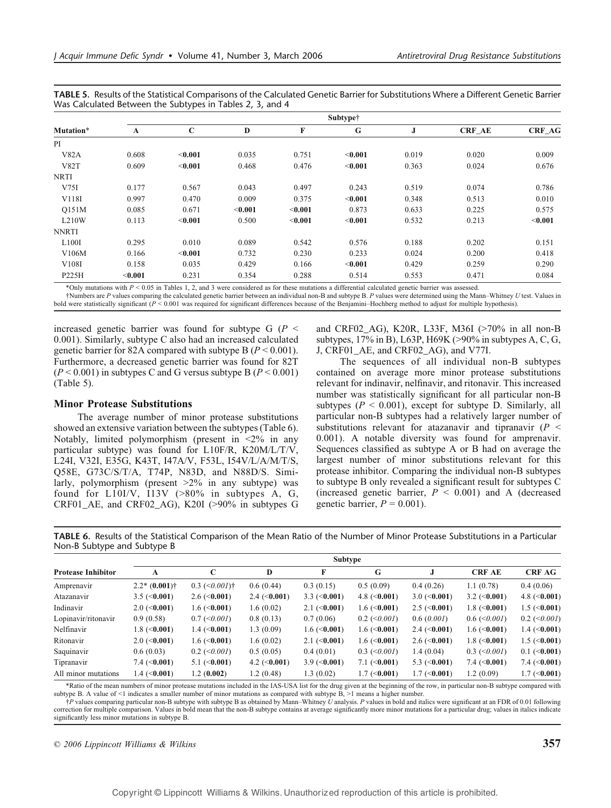TABLE 5. Results of the Statistical Comparisons of the Calculated Genetic Barrier for Substitutions Where a Different Genetic Barrier Was Calculated Between the Subtypes in Tables 2, 3, and 4

|                  | Subtype† |             |                |         |         |       |               |               |  |  |  |  |  |
|------------------|----------|-------------|----------------|---------|---------|-------|---------------|---------------|--|--|--|--|--|
| <b>Mutation*</b> | A        | $\mathbf C$ | D              | F       | G       | J     | <b>CRF AE</b> | <b>CRF_AG</b> |  |  |  |  |  |
| PI               |          |             |                |         |         |       |               |               |  |  |  |  |  |
| V82A             | 0.608    | $<$ 0.001   | 0.035          | 0.751   | < 0.001 | 0.019 | 0.020         | 0.009         |  |  |  |  |  |
| <b>V82T</b>      | 0.609    | < 0.001     | 0.468          | 0.476   | $0.001$ | 0.363 | 0.024         | 0.676         |  |  |  |  |  |
| <b>NRTI</b>      |          |             |                |         |         |       |               |               |  |  |  |  |  |
| V75I             | 0.177    | 0.567       | 0.043          | 0.497   | 0.243   | 0.519 | 0.074         | 0.786         |  |  |  |  |  |
| V118I            | 0.997    | 0.470       | 0.009          | 0.375   | < 0.001 | 0.348 | 0.513         | 0.010         |  |  |  |  |  |
| O151M            | 0.085    | 0.671       | $<$ 0.001 $\,$ | < 0.001 | 0.873   | 0.633 | 0.225         | 0.575         |  |  |  |  |  |
| L210W            | 0.113    | < 0.001     | 0.500          | $0.001$ | $0.001$ | 0.532 | 0.213         | $0.001$       |  |  |  |  |  |
| <b>NNRTI</b>     |          |             |                |         |         |       |               |               |  |  |  |  |  |
| L100I            | 0.295    | 0.010       | 0.089          | 0.542   | 0.576   | 0.188 | 0.202         | 0.151         |  |  |  |  |  |
| V106M            | 0.166    | < 0.001     | 0.732          | 0.230   | 0.233   | 0.024 | 0.200         | 0.418         |  |  |  |  |  |
| V108I            | 0.158    | 0.035       | 0.429          | 0.166   | < 0.001 | 0.429 | 0.259         | 0.290         |  |  |  |  |  |
| P225H            | < 0.001  | 0.231       | 0.354          | 0.288   | 0.514   | 0.553 | 0.471         | 0.084         |  |  |  |  |  |

\*Only mutations with  $P < 0.05$  in Tables 1, 2, and 3 were considered as for these mutations a differential calculated genetic barrier was assessed.

†Numbers are P values comparing the calculated genetic barrier between an individual non-B and subtype B. P values were determined using the Mann-Whitney U test. Values in bold were statistically significant  $(P < 0.001$  was required for significant differences because of the Benjamini-Hochberg method to adjust for multiple hypothesis).

increased genetic barrier was found for subtype G ( $P \leq$ 0.001). Similarly, subtype C also had an increased calculated genetic barrier for 82A compared with subtype B ( $P < 0.001$ ). Furthermore, a decreased genetic barrier was found for 82T  $(P < 0.001)$  in subtypes C and G versus subtype B  $(P < 0.001)$ (Table 5).

## Minor Protease Substitutions

The average number of minor protease substitutions showed an extensive variation between the subtypes (Table 6). Notably, limited polymorphism (present in  $\langle 2\% \rangle$  in any particular subtype) was found for L10F/R, K20M/L/T/V, L24I, V32I, E35G, K43T, I47A/V, F53L, I54V/L/A/M/T/S, Q58E, G73C/S/T/A, T74P, N83D, and N88D/S. Similarly, polymorphism (present  $>2\%$  in any subtype) was found for  $L10I/V$ ,  $I13V$  ( $>80\%$  in subtypes A, G,  $CRF01_AE$ , and  $CRF02_AG$ ), K20I (>90% in subtypes G and CRF02\_AG), K20R, L33F, M36I ( $>70\%$  in all non-B subtypes,  $17\%$  in B), L63P, H69K ( $>90\%$  in subtypes A, C, G, J, CRF01\_AE, and CRF02\_AG), and V77I.

The sequences of all individual non-B subtypes contained on average more minor protease substitutions relevant for indinavir, nelfinavir, and ritonavir. This increased number was statistically significant for all particular non-B subtypes ( $P < 0.001$ ), except for subtype D. Similarly, all particular non-B subtypes had a relatively larger number of substitutions relevant for atazanavir and tipranavir ( $P \leq$ 0.001). A notable diversity was found for amprenavir. Sequences classified as subtype A or B had on average the largest number of minor substitutions relevant for this protease inhibitor. Comparing the individual non-B subtypes to subtype B only revealed a significant result for subtypes C (increased genetic barrier,  $P < 0.001$ ) and A (decreased genetic barrier,  $P = 0.001$ ).

TABLE 6. Results of the Statistical Comparison of the Mean Ratio of the Number of Minor Protease Substitutions in a Particular Non-B Subtype and Subtype B

|                           | Subtype               |                             |                       |                                 |                        |                       |                       |                       |  |  |  |  |  |
|---------------------------|-----------------------|-----------------------------|-----------------------|---------------------------------|------------------------|-----------------------|-----------------------|-----------------------|--|--|--|--|--|
| <b>Protease Inhibitor</b> | A                     | C                           | D                     | F                               | G                      |                       | <b>CRF AE</b>         | <b>CRF AG</b>         |  |  |  |  |  |
| Amprenavir                | $2.2* (0.001)$ †      | $0.3$ (<0.001) <sup>†</sup> | 0.6(0.44)             | 0.3(0.15)                       | 0.5(0.09)              | 0.4(0.26)             | 1.1(0.78)             | 0.4(0.06)             |  |  |  |  |  |
| Atazanavir                | $3.5 \approx (0.001)$ | $2.6 \le 0.001$             | $2.4 \approx (0.001)$ | $3.3 \approx (0.001)$           | 4.8 $(0.001)$          | $3.0 \; (\leq 0.001)$ | $3.2 \approx (0.001)$ | 4.8 $(0.001)$         |  |  |  |  |  |
| Indinavir                 | $2.0 \le 0.001$       | 1.6 $(\leq 0.001)$          | 1.6(0.02)             | $2.1 \approx 0.001$             | $1.6 \; (\leq 0.001)$  | $2.5 \; (\leq 0.001)$ | $1.8$ (<0.001)        | $1.5 \; (\leq 0.001)$ |  |  |  |  |  |
| Lopinavir/ritonavir       | 0.9(0.58)             | $0.7 \leq 0.001$            | 0.8(0.13)             | 0.7(0.06)                       | $0.2$ ( $\leq 0.001$ ) | 0.6(0.001)            | $0.6 \approx 0.001$   | $0.2$ (<0.001)        |  |  |  |  |  |
| Nelfinavir                | 1.8 $(0.001)$         | $1.4 \; (\leq 0.001)$       | 1.3(0.09)             | $1.6 \; (\leq 0.001)$           | $1.6 \; (\leq 0.001)$  | $2.4 \approx (0.001)$ | $1.6 \approx 0.001$   | $1.4 \; (\leq 0.001)$ |  |  |  |  |  |
| Ritonavir                 | $2.0 \le 0.001$       | $1.6 \; (\leq 0.001)$       | 1.6(0.02)             | $2.1 \approx 0.001$             | $1.6 \; (\leq 0.001)$  | $2.6 \approx 0.001$   | $1.8$ (<0.001)        | $1.5 \; (\leq 0.001)$ |  |  |  |  |  |
| Saquinavir                | 0.6(0.03)             | $0.2$ ( $\leq 0.001$ )      | 0.5(0.05)             | 0.4(0.01)                       | $0.3$ ( $\leq 0.001$ ) | 1.4(0.04)             | $0.3$ (< $0.001$ )    | $0.1$ (<0.001)        |  |  |  |  |  |
| Tipranavir                | $7.4~(\leq 0.001)$    | 5.1 $(\leq 0.001)$          | 4.2 $(0.001)$         | $3.9 \left( \leq 0.001 \right)$ | $7.1 \; (\leq 0.001)$  | 5.3 $(0.001)$         | $7.4 \; (\leq 0.001)$ | $7.4 \; (\leq 0.001)$ |  |  |  |  |  |
| All minor mutations       | $1.4 \; (\leq 0.001)$ | 1.2(0.002)                  | 1.2(0.48)             | 1.3(0.02)                       | $1.7 \; (\leq 0.001)$  | $1.7 \; (\leq 0.001)$ | 1.2(0.09)             | $1.7 \; (\leq 0.001)$ |  |  |  |  |  |

\*Ratio of the mean numbers of minor protease mutations included in the IAS-USA list for the drug given at the beginning of the row, in particular non-B subtype compared with subtype B. A value of <1 indicates a smaller number of minor mutations as compared with subtype B, >1 means a higher number.

†P values comparing particular non-B subtype with subtype B as obtained by MannYWhitney U analysis. P values in bold and italics were significant at an FDR of 0.01 following correction for multiple comparison. Values in bold mean that the non-B subtype contains at average significantly more minor mutations for a particular drug; values in italics indicate significantly less minor mutations in subtype B.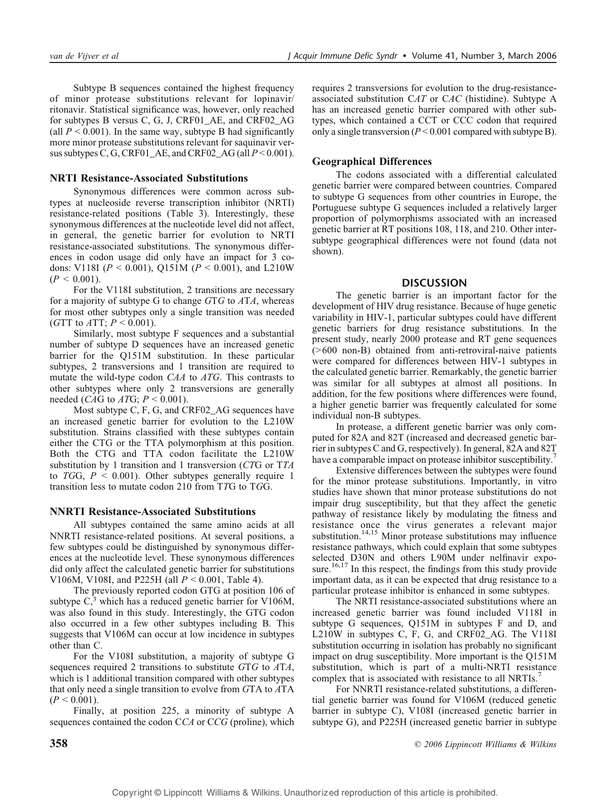Subtype B sequences contained the highest frequency of minor protease substitutions relevant for lopinavir/ ritonavir. Statistical significance was, however, only reached for subtypes B versus C, G, J, CRF01\_AE, and CRF02\_AG (all  $P < 0.001$ ). In the same way, subtype B had significantly more minor protease substitutions relevant for saquinavir versus subtypes C, G, CRF01\_AE, and CRF02\_AG (all  $P < 0.001$ ).

## NRTI Resistance-Associated Substitutions

Synonymous differences were common across subtypes at nucleoside reverse transcription inhibitor (NRTI) resistance-related positions (Table 3). Interestingly, these synonymous differences at the nucleotide level did not affect, in general, the genetic barrier for evolution to NRTI resistance-associated substitutions. The synonymous differences in codon usage did only have an impact for 3 codons: V118I ( $P < 0.001$ ), Q151M ( $P < 0.001$ ), and L210W  $(P < 0.001)$ .

For the V118I substitution, 2 transitions are necessary for a majority of subtype G to change  $GTG$  to  $ATA$ , whereas for most other subtypes only a single transition was needed (GTT to  $ATT$ ;  $P < 0.001$ ).

Similarly, most subtype F sequences and a substantial number of subtype D sequences have an increased genetic barrier for the Q151M substitution. In these particular subtypes, 2 transversions and 1 transition are required to mutate the wild-type codon CAA to ATG. This contrasts to other subtypes where only 2 transversions are generally needed (*CAG* to  $ATG$ ;  $P < 0.001$ ).

Most subtype C, F, G, and CRF02\_AG sequences have an increased genetic barrier for evolution to the L210W substitution. Strains classified with these subtypes contain either the CTG or the TTA polymorphism at this position. Both the CTG and TTA codon facilitate the L210W substitution by 1 transition and 1 transversion (CTG or TTA to TGG,  $P \le 0.001$ ). Other subtypes generally require 1 transition less to mutate codon 210 from TTG to TGG.

#### NNRTI Resistance-Associated Substitutions

All subtypes contained the same amino acids at all NNRTI resistance-related positions. At several positions, a few subtypes could be distinguished by synonymous differences at the nucleotide level. These synonymous differences did only affect the calculated genetic barrier for substitutions V106M, V108I, and P225H (all  $P < 0.001$ , Table 4).

The previously reported codon GTG at position 106 of subtype  $C<sub>1</sub><sup>3</sup>$  which has a reduced genetic barrier for V106M, was also found in this study. Interestingly, the GTG codon also occurred in a few other subtypes including B. This suggests that V106M can occur at low incidence in subtypes other than C.

For the V108I substitution, a majority of subtype G sequences required 2 transitions to substitute GTG to ATA, which is 1 additional transition compared with other subtypes that only need a single transition to evolve from GTA to ATA  $(P < 0.001)$ .

Finally, at position 225, a minority of subtype A sequences contained the codon CCA or CCG (proline), which requires 2 transversions for evolution to the drug-resistanceassociated substitution CAT or CAC (histidine). Subtype A has an increased genetic barrier compared with other subtypes, which contained a CCT or CCC codon that required only a single transversion ( $P < 0.001$  compared with subtype B).

## Geographical Differences

The codons associated with a differential calculated genetic barrier were compared between countries. Compared to subtype G sequences from other countries in Europe, the Portuguese subtype G sequences included a relatively larger proportion of polymorphisms associated with an increased genetic barrier at RT positions 108, 118, and 210. Other intersubtype geographical differences were not found (data not shown).

## **DISCUSSION**

The genetic barrier is an important factor for the development of HIV drug resistance. Because of huge genetic variability in HIV-1, particular subtypes could have different genetic barriers for drug resistance substitutions. In the present study, nearly 2000 protease and RT gene sequences (>600 non-B) obtained from anti-retroviral-naive patients were compared for differences between HIV-1 subtypes in the calculated genetic barrier. Remarkably, the genetic barrier was similar for all subtypes at almost all positions. In addition, for the few positions where differences were found, a higher genetic barrier was frequently calculated for some individual non-B subtypes.

In protease, a different genetic barrier was only computed for 82A and 82T (increased and decreased genetic barrier in subtypes C and G, respectively). In general, 82A and 82T have a comparable impact on protease inhibitor susceptibility.<sup>7</sup>

Extensive differences between the subtypes were found for the minor protease substitutions. Importantly, in vitro studies have shown that minor protease substitutions do not impair drug susceptibility, but that they affect the genetic pathway of resistance likely by modulating the fitness and resistance once the virus generates a relevant major substitution.<sup>14,15</sup> Minor protease substitutions may influence resistance pathways, which could explain that some subtypes selected D30N and others L90M under nelfinavir exposure.<sup>16,17</sup> In this respect, the findings from this study provide important data, as it can be expected that drug resistance to a particular protease inhibitor is enhanced in some subtypes.

The NRTI resistance-associated substitutions where an increased genetic barrier was found included V118I in subtype G sequences, Q151M in subtypes F and D, and L210W in subtypes C, F, G, and CRF02\_AG. The V118I substitution occurring in isolation has probably no significant impact on drug susceptibility. More important is the Q151M substitution, which is part of a multi-NRTI resistance complex that is associated with resistance to all NRTIs.<sup>7</sup>

For NNRTI resistance-related substitutions, a differential genetic barrier was found for V106M (reduced genetic barrier in subtype C), V108I (increased genetic barrier in subtype G), and P225H (increased genetic barrier in subtype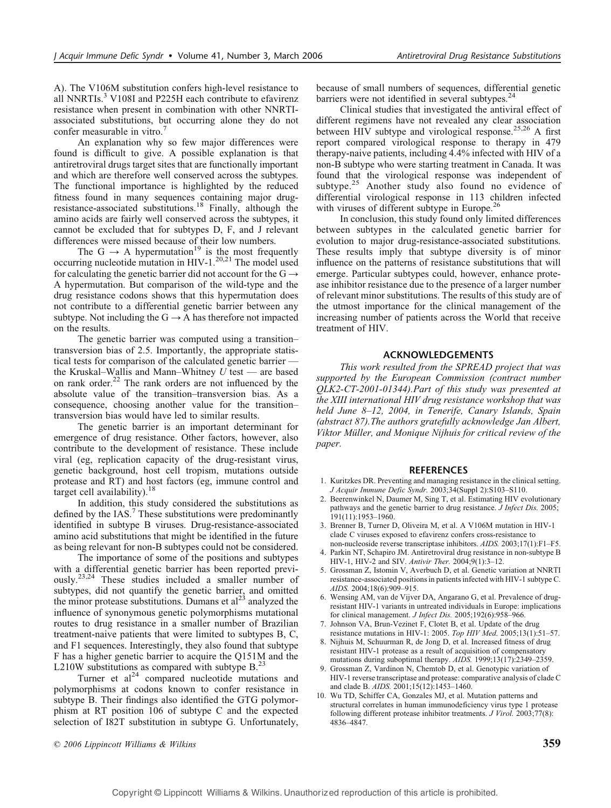A). The V106M substitution confers high-level resistance to all NNRTIs. $3$  V108I and P225H each contribute to efavirenz resistance when present in combination with other NNRTIassociated substitutions, but occurring alone they do not confer measurable in vitro.<sup>7</sup>

An explanation why so few major differences were found is difficult to give. A possible explanation is that antiretroviral drugs target sites that are functionally important and which are therefore well conserved across the subtypes. The functional importance is highlighted by the reduced fitness found in many sequences containing major drugresistance-associated substitutions.<sup>18</sup> Finally, although the amino acids are fairly well conserved across the subtypes, it cannot be excluded that for subtypes D, F, and J relevant differences were missed because of their low numbers.

The G  $\rightarrow$  A hypermutation<sup>19</sup> is the most frequently occurring nucleotide mutation in HIV-1.<sup>20,21</sup> The model used for calculating the genetic barrier did not account for the  $G \rightarrow$ A hypermutation. But comparison of the wild-type and the drug resistance codons shows that this hypermutation does not contribute to a differential genetic barrier between any subtype. Not including the  $G \rightarrow A$  has therefore not impacted on the results.

The genetic barrier was computed using a transitiontransversion bias of 2.5. Importantly, the appropriate statistical tests for comparison of the calculated genetic barrier  $$ the Kruskal-Wallis and Mann-Whitney  $U$  test — are based on rank order.<sup>22</sup> The rank orders are not influenced by the absolute value of the transition-transversion bias. As a consequence, choosing another value for the transitiontransversion bias would have led to similar results.

The genetic barrier is an important determinant for emergence of drug resistance. Other factors, however, also contribute to the development of resistance. These include viral (eg, replication capacity of the drug-resistant virus, genetic background, host cell tropism, mutations outside protease and RT) and host factors (eg, immune control and target cell availability).<sup>1</sup>

In addition, this study considered the substitutions as defined by the IAS.<sup>7</sup> These substitutions were predominantly identified in subtype B viruses. Drug-resistance-associated amino acid substitutions that might be identified in the future as being relevant for non-B subtypes could not be considered.

The importance of some of the positions and subtypes with a differential genetic barrier has been reported previously.<sup>23,24</sup> These studies included a smaller number of subtypes, did not quantify the genetic barrier, and omitted the minor protease substitutions. Dumans et  $al<sup>23</sup>$  analyzed the influence of synonymous genetic polymorphisms mutational routes to drug resistance in a smaller number of Brazilian treatment-naive patients that were limited to subtypes B, C, and F1 sequences. Interestingly, they also found that subtype F has a higher genetic barrier to acquire the Q151M and the L210W substitutions as compared with subtype  $B<sup>23</sup>$ 

Turner et al<sup>24</sup> compared nucleotide mutations and polymorphisms at codons known to confer resistance in subtype B. Their findings also identified the GTG polymorphism at RT position 106 of subtype C and the expected selection of I82T substitution in subtype G. Unfortunately, because of small numbers of sequences, differential genetic barriers were not identified in several subtypes.<sup>24</sup>

Clinical studies that investigated the antiviral effect of different regimens have not revealed any clear association between HIV subtype and virological response.<sup>25,26</sup> A first report compared virological response to therapy in 479 therapy-naive patients, including 4.4% infected with HIV of a non-B subtype who were starting treatment in Canada. It was found that the virological response was independent of subtype. $25$  Another study also found no evidence of differential virological response in 113 children infected with viruses of different subtype in Europe.<sup>26</sup>

In conclusion, this study found only limited differences between subtypes in the calculated genetic barrier for evolution to major drug-resistance-associated substitutions. These results imply that subtype diversity is of minor influence on the patterns of resistance substitutions that will emerge. Particular subtypes could, however, enhance protease inhibitor resistance due to the presence of a larger number of relevant minor substitutions. The results of this study are of the utmost importance for the clinical management of the increasing number of patients across the World that receive treatment of HIV.

#### ACKNOWLEDGEMENTS

This work resulted from the SPREAD project that was supported by the European Commission (contract number QLK2-CT-2001-01344).Part of this study was presented at the XIII international HIV drug resistance workshop that was held June 8-12, 2004, in Tenerife, Canary Islands, Spain (abstract 87).The authors gratefully acknowledge Jan Albert, Viktor Müller, and Monique Nijhuis for critical review of the paper.

#### REFERENCES

- 1. Kuritzkes DR. Preventing and managing resistance in the clinical setting. J Acquir Immune Defic Syndr. 2003;34(Suppl 2):S103-S110.
- 2. Beerenwinkel N, Daumer M, Sing T, et al. Estimating HIV evolutionary pathways and the genetic barrier to drug resistance. J Infect Dis. 2005;  $191(11):1953-1960.$
- 3. Brenner B, Turner D, Oliveira M, et al. A V106M mutation in HIV-1 clade C viruses exposed to efavirenz confers cross-resistance to non-nucleoside reverse transcriptase inhibitors. AIDS. 2003;17(1):F1-F5.
- 4. Parkin NT, Schapiro JM. Antiretroviral drug resistance in non-subtype B HIV-1, HIV-2 and SIV. Antivir Ther.  $2004;9(1):3-12$ .
- 5. Grossman Z, Istomin V, Averbuch D, et al. Genetic variation at NNRTI resistance-associated positions in patients infected with HIV-1 subtype C. AIDS. 2004;18(6):909-915.
- 6. Wensing AM, van de Vijver DA, Angarano G, et al. Prevalence of drugresistant HIV-1 variants in untreated individuals in Europe: implications for clinical management. *J Infect Dis.*  $2005;192(6):958-966$ .
- 7. Johnson VA, Brun-Vezinet F, Clotet B, et al. Update of the drug resistance mutations in HIV-1: 2005. Top HIV Med. 2005;13(1):51-57.
- 8. Nijhuis M, Schuurman R, de Jong D, et al. Increased fitness of drug resistant HIV-1 protease as a result of acquisition of compensatory mutations during suboptimal therapy. AIDS. 1999;13(17):2349-2359.
- 9. Grossman Z, Vardinon N, Chemtob D, et al. Genotypic variation of HIV-1 reverse transcriptase and protease: comparative analysis of clade C and clade B.  $AIDS. 2001;15(12):1453-1460.$
- 10. Wu TD, Schiffer CA, Gonzales MJ, et al. Mutation patterns and structural correlates in human immunodeficiency virus type 1 protease following different protease inhibitor treatments. J Virol. 2003;77(8): 4836-4847.